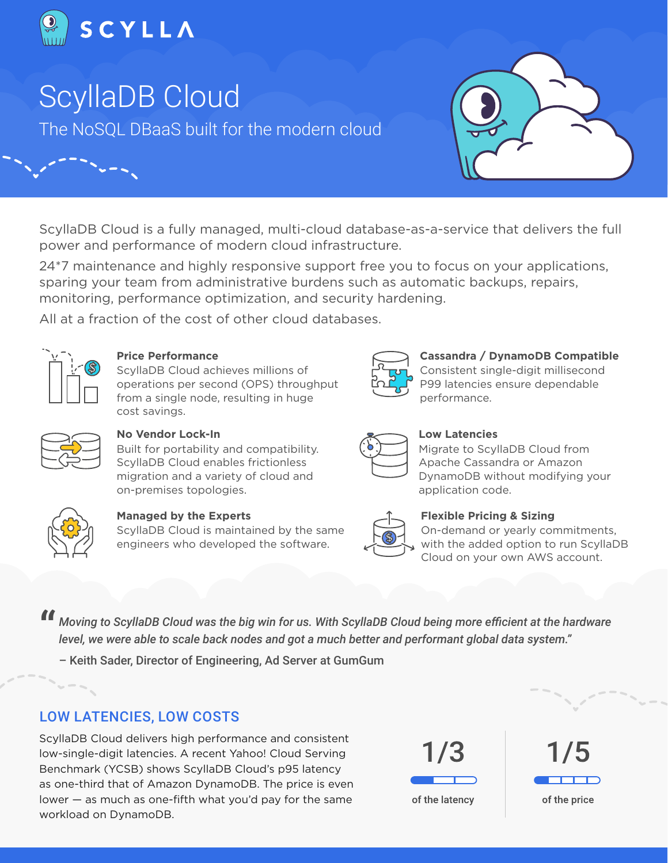

# ScyllaDB Cloud

The NoSQL DBaaS built for the modern cloud



ScyllaDB Cloud is a fully managed, multi-cloud database-as-a-service that delivers the full power and performance of modern cloud infrastructure.

24\*7 maintenance and highly responsive support free you to focus on your applications, sparing your team from administrative burdens such as automatic backups, repairs, monitoring, performance optimization, and security hardening.

All at a fraction of the cost of other cloud databases.



**Price Performance**

ScyllaDB Cloud achieves millions of operations per second (OPS) throughput from a single node, resulting in huge cost savings.

#### **Cassandra / DynamoDB Compatible** Consistent single-digit millisecond

P99 latencies ensure dependable performance.



## **No Vendor Lock-In**

Built for portability and compatibility. ScyllaDB Cloud enables frictionless migration and a variety of cloud and on-premises topologies.



**Managed by the Experts**

ScyllaDB Cloud is maintained by the same engineers who developed the software.

### **Low Latencies**

Migrate to ScyllaDB Cloud from Apache Cassandra or Amazon DynamoDB without modifying your application code.

### **Flexible Pricing & Sizing**

On-demand or yearly commitments, with the added option to run ScyllaDB Cloud on your own AWS account.

*Moving to ScyllaDB Cloud was the big win for us. With ScyllaDB Cloud being more efficient at the hardware*<br>" level, we were able to scale back nodes and got a much better and performant global data system." *level, we were able to scale back nodes and got a much better and performant global data system."*

– Keith Sader, Director of Engineering, Ad Server at GumGum

## LOW LATENCIES, LOW COSTS

ScyllaDB Cloud delivers high performance and consistent low-single-digit latencies. A recent Yahoo! Cloud Serving Benchmark (YCSB) shows ScyllaDB Cloud's p95 latency as one-third that of Amazon DynamoDB. The price is even lower — as much as one-fifth what you'd pay for the same workload on DynamoDB.